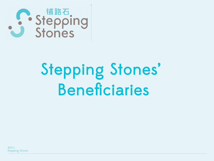

## Stepping Stones' Beneficiaries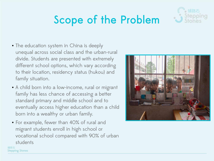### Scope of the Problem



- A child born into a low-income, rural or migrant family has less chance of accessing a better standard primary and middle school and to eventually access higher education than a child born into a wealthy or urban family.
- For example, fewer than 40% of rural and migrant students enroll in high school or vocational school compared with 90% of urban students

鋪路石

**Stepping Stones** 



铺路石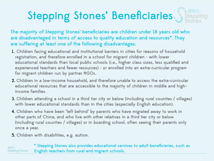### Stepping Stones' Beneficiaries Stepping

The majority of Stepping Stones' beneficiaries are children under 18 years old who are disadvantaged in terms of access to quality education and resources\*. They are suffering at least one of the following disadvantages:

- 1. Children facing educational and institutional barriers in cities for reasons of household registration, and therefore enrolled in a school for migrant children - with lower educational standards than local public schools (i.e., higher class sizes, less qualified and experienced teachers and fewer resources) - or enrolled into an extra-curricular program for migrant children run by partner NGOs.
- 2. Children in a low-income household, and therefore unable to access the extra-curricular educational resources that are accessible to the majority of children in middle and highincome families.
- 3. Children attending a school in a third tier city or below (including rural counties / villages) with lower educational standards than in the cities (especially English education).
- 4. Children who have been "left behind" by parents who have migrated away to work in other parts of China, and who live with other relatives in a third tier city or below (including rural counties / villages) or in boarding school, often seeing their parents only once a year.
- 5. Children with disabilities, e.g. autism.

\* Stepping Stones also provides educational services to adult beneficiaries, such as 鋪路石 **Stepping Stones** English teachers from rural and migrant schools.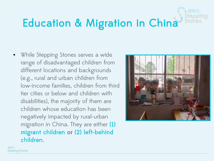### Education & Migration in China

• While Stepping Stones serves a wide range of disadvantaged children from different locations and backgrounds (e.g., rural and urban children from low-income families, children from third tier cities or below and children with disabilities), the majority of them are children whose education has been negatively impacted by rural-urban migration in China. They are either (1) migrant children or (2) left-behind children.

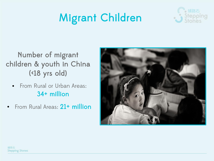### Migrant Children



#### Number of migrant children & youth in China (<18 yrs old)

- From Rural or Urban Areas: 34+ million
- From Rural Areas: 21<sup>+</sup> million

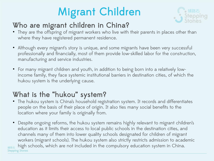### Migrant Children



#### Who are migrant children in China?

- They are the offspring of migrant workers who live with their parents in places other than where they have registered permanent residence.
- Although every migrant's story is unique, and some migrants have been very successful professionally and financially, most of them provide low-skilled labor for the construction, manufacturing and service industries.
- For many migrant children and youth, in addition to being born into a relatively lowincome family, they face systemic institutional barriers in destination cities, of which the hukou system is the underlying cause.

#### What is the "hukou" system?

- The hukou system is China's household registration system. It records and differentiates people on the basis of their place of origin. It also ties many social benefits to the location where your family is originally from.
- Despite ongoing reforms, the hukou system remains highly relevant to migrant children's education as it limits their access to local public schools in the destination cities, and channels many of them into lower quality schools designated for children of migrant workers (migrant schools). The hukou system also strictly restricts admission to academic high schools, which are not included in the compulsory education system in China.**Stepping Stones**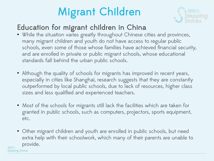### Migrant Children



#### Education for migrant children in China

鋪路石

**Stepping Stones** 

- While the situation varies greatly throughout Chinese cities and provinces, many migrant children and youth do not have access to regular public schools, even some of those whose families have achieved financial security, and are enrolled in private or public migrant schools, whose educational standards fall behind the urban public schools.
- Although the quality of schools for migrants has improved in recent years, especially in cities like Shanghai, research suggests that they are constantly outperformed by local public schools, due to lack of resources, higher class sizes and less qualified and experienced teachers.
- Most of the schools for migrants still lack the facilities which are taken for granted in public schools, such as computers, projectors, sports equipment, etc.
- Other migrant children and youth are enrolled in public schools, but need extra help with their schoolwork, which many of their parents are unable to provide.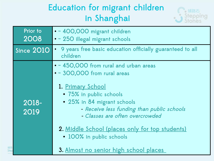#### Education for migrant children in Shanghai



| Prior to<br>2008 | • ~ 400,000 migrant children<br>· ~ 250 illegal migrant schools                                                                                                                                                                                                                                                                                                 |
|------------------|-----------------------------------------------------------------------------------------------------------------------------------------------------------------------------------------------------------------------------------------------------------------------------------------------------------------------------------------------------------------|
| Since 2010       | 9 years free basic education officially guaranteed to all<br>children                                                                                                                                                                                                                                                                                           |
| 2018-<br>2019    | • ~ 450,000 from rural and urban areas<br>. ~ 300,000 from rural areas<br>1. Primary School<br>• 75% in public schools<br>• 25% in 84 migrant schools<br>- Receive less funding than public schools<br>- Classes are often overcrowded<br>2. Middle School (places only for top students)<br>• 100% in public schools<br>3. Almost no senior high school places |

鋪路 Step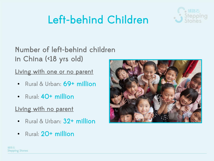### Left-behind Children



Number of left-behind children in China (<18 yrs old)

Living with one or no parent

- Rural & Urban: 69<sup>+</sup> million
- Rural: 40<sup>+</sup> million

#### Living with no parent

- Rural & Urban: 32+ million
- Rural: 20<sup>+</sup> million

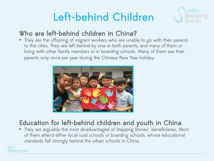### Left-behind Children



#### Who are left-behind children in China?

• They are the offspring of migrant workers who are unable to go with their parents to the cities. They are left behind by one or both parents, and many of them or living with other family members or in boarding schools. Many of them see their parents only once per year during the Chinese New Year holiday.



#### Education for left-behind children and youth in China

● They are arguably the most disadvantaged of Stepping Stones' beneficiaries. Most of them attend either local rural schools or boarding schools, whose educational standards fall strongly behind the urban schools in China.

鋪路石 **Stepping Stones**